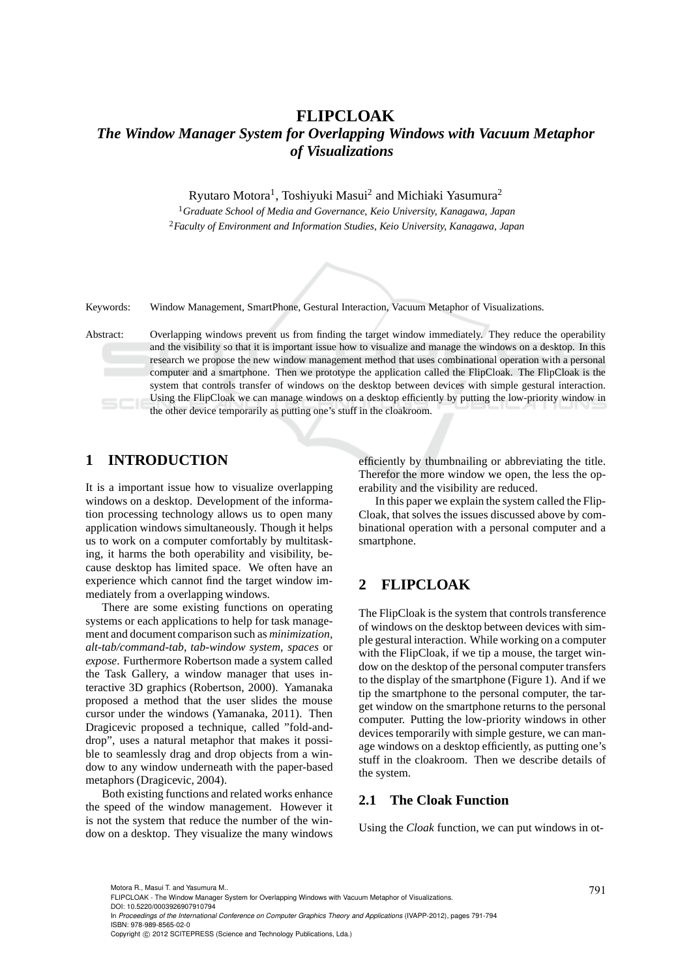# **FLIPCLOAK** *The Window Manager System for Overlapping Windows with Vacuum Metaphor of Visualizations*

Ryutaro Motora<sup>1</sup>, Toshiyuki Masui<sup>2</sup> and Michiaki Yasumura<sup>2</sup>

<sup>1</sup>*Graduate School of Media and Governance, Keio University, Kanagawa, Japan* <sup>2</sup>*Faculty of Environment and Information Studies, Keio University, Kanagawa, Japan*



Keywords: Window Management, SmartPhone, Gestural Interaction, Vacuum Metaphor of Visualizations.

Abstract: Overlapping windows prevent us from finding the target window immediately. They reduce the operability and the visibility so that it is important issue how to visualize and manage the windows on a desktop. In this research we propose the new window management method that uses combinational operation with a personal computer and a smartphone. Then we prototype the application called the FlipCloak. The FlipCloak is the system that controls transfer of windows on the desktop between devices with simple gestural interaction. Using the FlipCloak we can manage windows on a desktop efficiently by putting the low-priority window in the other device temporarily as putting one's stuff in the cloakroom.

### **1 INTRODUCTION**

It is a important issue how to visualize overlapping windows on a desktop. Development of the information processing technology allows us to open many application windows simultaneously. Though it helps us to work on a computer comfortably by multitasking, it harms the both operability and visibility, because desktop has limited space. We often have an experience which cannot find the target window immediately from a overlapping windows.

There are some existing functions on operating systems or each applications to help for task management and document comparison such as *minimization*, *alt-tab/command-tab*, *tab-window system*, *spaces* or *expose*. Furthermore Robertson made a system called the Task Gallery, a window manager that uses interactive 3D graphics (Robertson, 2000). Yamanaka proposed a method that the user slides the mouse cursor under the windows (Yamanaka, 2011). Then Dragicevic proposed a technique, called "fold-anddrop", uses a natural metaphor that makes it possible to seamlessly drag and drop objects from a window to any window underneath with the paper-based metaphors (Dragicevic, 2004).

Both existing functions and related works enhance the speed of the window management. However it is not the system that reduce the number of the window on a desktop. They visualize the many windows efficiently by thumbnailing or abbreviating the title. Therefor the more window we open, the less the operability and the visibility are reduced.

In this paper we explain the system called the Flip-Cloak, that solves the issues discussed above by combinational operation with a personal computer and a smartphone.

## **2 FLIPCLOAK**

The FlipCloak is the system that controls transference of windows on the desktop between devices with simple gestural interaction. While working on a computer with the FlipCloak, if we tip a mouse, the target window on the desktop of the personal computer transfers to the display of the smartphone (Figure 1). And if we tip the smartphone to the personal computer, the target window on the smartphone returns to the personal computer. Putting the low-priority windows in other devices temporarily with simple gesture, we can manage windows on a desktop efficiently, as putting one's stuff in the cloakroom. Then we describe details of the system.

#### **2.1 The Cloak Function**

Using the *Cloak* function, we can put windows in ot-

Motora R., Masui T. and Yasumura M..<br>FLIPCLOAK - The Window Manager System for Overlapping Windows with Vacuum Metaphor of Visualizations.

DOI: 10.5220/0003926907910794

In *Proceedings of the International Conference on Computer Graphics Theory and Applications* (IVAPP-2012), pages 791-794 ISBN: 978-989-8565-02-0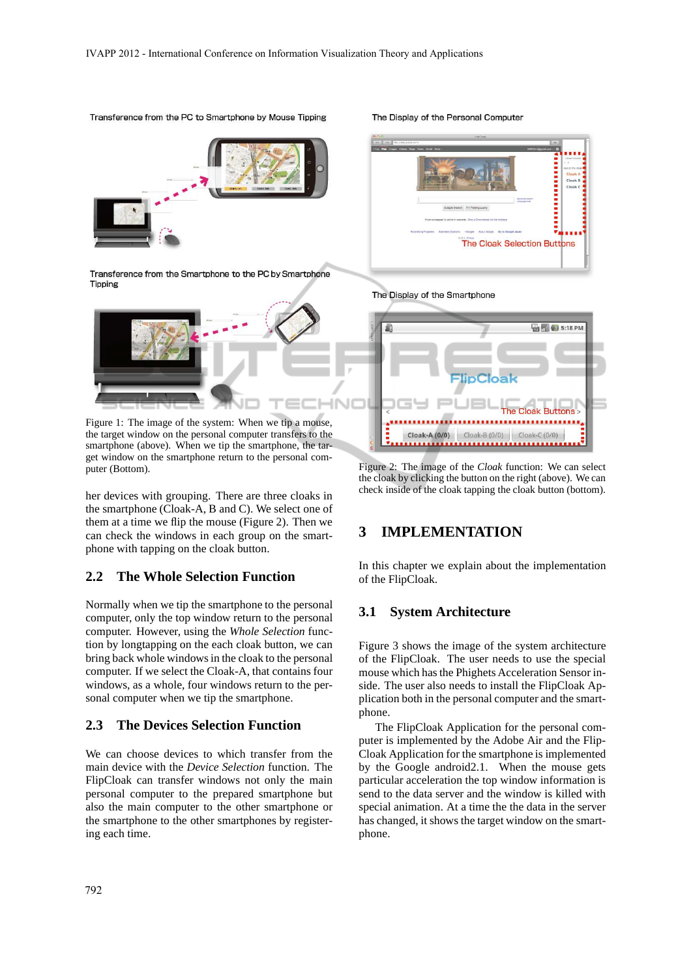

the target window on the personal computer transfers to the smartphone (above). When we tip the smartphone, the target window on the smartphone return to the personal computer (Bottom).

her devices with grouping. There are three cloaks in the smartphone (Cloak-A, B and C). We select one of them at a time we flip the mouse (Figure 2). Then we can check the windows in each group on the smartphone with tapping on the cloak button.

#### **2.2 The Whole Selection Function**

Normally when we tip the smartphone to the personal computer, only the top window return to the personal computer. However, using the *Whole Selection* function by longtapping on the each cloak button, we can bring back whole windows in the cloak to the personal computer. If we select the Cloak-A, that contains four windows, as a whole, four windows return to the personal computer when we tip the smartphone.

#### **2.3 The Devices Selection Function**

We can choose devices to which transfer from the main device with the *Device Selection* function. The FlipCloak can transfer windows not only the main personal computer to the prepared smartphone but also the main computer to the other smartphone or the smartphone to the other smartphones by registering each time.

Figure 2: The image of the *Cloak* function: We can select the cloak by clicking the button on the right (above). We can check inside of the cloak tapping the cloak button (bottom).

**Cloak-A (0/0)** Cloak-B (0/0) Cloak-C (0/0) 

### **3 IMPLEMENTATION**

In this chapter we explain about the implementation of the FlipCloak.

#### **3.1 System Architecture**

Figure 3 shows the image of the system architecture of the FlipCloak. The user needs to use the special mouse which has the Phighets Acceleration Sensor inside. The user also needs to install the FlipCloak Application both in the personal computer and the smartphone.

The FlipCloak Application for the personal computer is implemented by the Adobe Air and the Flip-Cloak Application for the smartphone is implemented by the Google android2.1. When the mouse gets particular acceleration the top window information is send to the data server and the window is killed with special animation. At a time the the data in the server has changed, it shows the target window on the smartphone.

The Display of the Personal Computer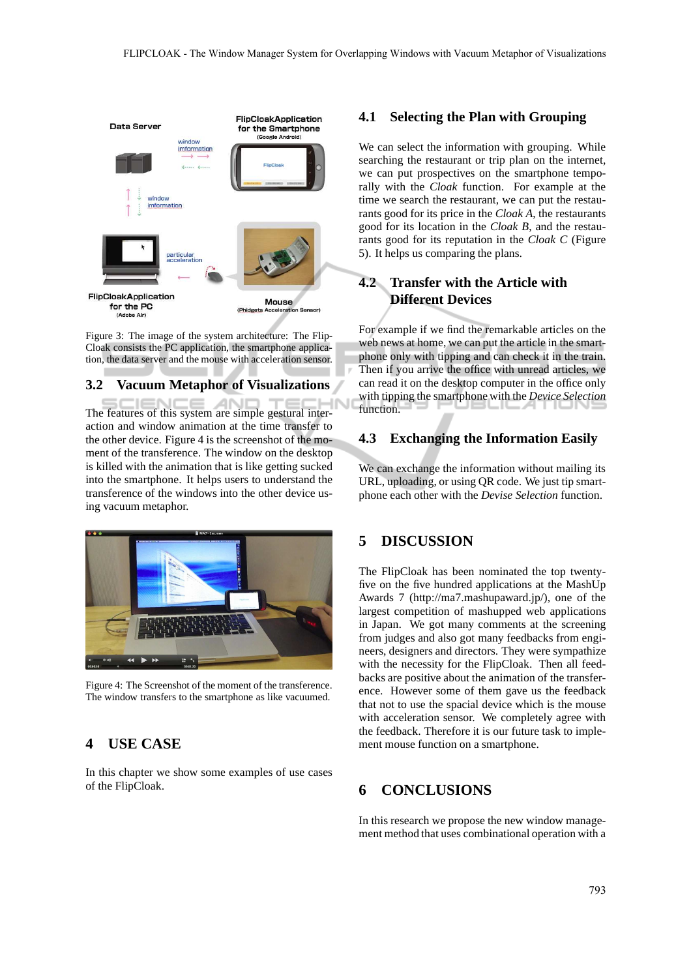

Figure 3: The image of the system architecture: The Flip-Cloak consists the PC application, the smartphone application, the data server and the mouse with acceleration sensor.

#### **3.2 Vacuum Metaphor of Visualizations**

ZМ The features of this system are simple gestural interaction and window animation at the time transfer to the other device. Figure 4 is the screenshot of the moment of the transference. The window on the desktop is killed with the animation that is like getting sucked into the smartphone. It helps users to understand the transference of the windows into the other device using vacuum metaphor.



Figure 4: The Screenshot of the moment of the transference. The window transfers to the smartphone as like vacuumed.

## **4 USE CASE**

In this chapter we show some examples of use cases of the FlipCloak.

#### **4.1 Selecting the Plan with Grouping**

We can select the information with grouping. While searching the restaurant or trip plan on the internet, we can put prospectives on the smartphone temporally with the *Cloak* function. For example at the time we search the restaurant, we can put the restaurants good for its price in the *Cloak A*, the restaurants good for its location in the *Cloak B*, and the restaurants good for its reputation in the *Cloak C* (Figure 5). It helps us comparing the plans.

## **4.2 Transfer with the Article with Different Devices**

For example if we find the remarkable articles on the web news at home, we can put the article in the smartphone only with tipping and can check it in the train. Then if you arrive the office with unread articles, we can read it on the desktop computer in the office only with tipping the smartphone with the *Device Selection* function.

## **4.3 Exchanging the Information Easily**

We can exchange the information without mailing its URL, uploading, or using QR code. We just tip smartphone each other with the *Devise Selection* function.

### **5 DISCUSSION**

The FlipCloak has been nominated the top twentyfive on the five hundred applications at the MashUp Awards 7 (http://ma7.mashupaward.jp/), one of the largest competition of mashupped web applications in Japan. We got many comments at the screening from judges and also got many feedbacks from engineers, designers and directors. They were sympathize with the necessity for the FlipCloak. Then all feedbacks are positive about the animation of the transference. However some of them gave us the feedback that not to use the spacial device which is the mouse with acceleration sensor. We completely agree with the feedback. Therefore it is our future task to implement mouse function on a smartphone.

## **6 CONCLUSIONS**

In this research we propose the new window management method that uses combinational operation with a